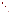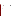# **Consumer Factsheet on: BENZENE**

# [List of Contaminants](http://www.epa.gov/safewater/hfacts.html)

 As part of the Drinking Water and Health pages, this fact sheet is part of a larger publication: **National Primary Drinking Water Regulations** 

 States Environmental Protection Agency (EPA). This is a factsheet about a chemical that may be found in some public or private drinking water supplies. It may cause health problems if found in amounts greater than the health standard set by the United

## **What is Benzene and how is it used?**

 building block for making plastics, rubber, resins and synthetic fabrics like nylon and polyester. Other Benzene is a clear, colorless aromatic liquid. It is highly flammable. The greatest use of benzene is as a uses include: as a solvent in printing, paints, dry cleaning, etc.

 The list of trade names given below may help you find out whether you are using this chemical at home or work.

# **Trade Names and Synonyms:**

Benzol 90 Pyrobenzol Polystream Coal naphtha Phene

## **Why is Benzene being Regulated?**

 based solely on possible health risks and exposure, are called Maximum Contaminant Level Goals. In 1974, Congress passed the Safe Drinking Water Act. This law requires EPA to determine safe levels of chemicals in drinking water which do or may cause health problems. These non-enforceable levels,

 cause any of the health effects described below. The MCLG for benzene has been set at zero because EPA believes this level of protection would not

 Based on this MCLG, EPA has set an enforceable standard called a Maximum Contaminant Level (MCL). MCLs are set as close to the MCLGs as possible, considering the ability of public water systems to detect and remove contaminants using suitable treatment technologies.

 contaminant should it occur in drinking water. The MCL has been set at 5 parts per billion (ppb) because EPA believes, given present technology and resources, this is the lowest level to which water systems can reasonably be required to remove this

 National Primary Drinking Water Regulations. All community water supplies must abide by these These drinking water standards and the regulations for ensuring these standards are met, are called regulations.

# **What are the Health Effects?**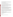Short-term: EPA has found benzene to potentially cause the following health effects when people are exposed to it at levels above the MCL for relatively short periods of time: temporary nervous system disorders, immune system depression, anemia.

Long-term: Benzene has the potential to cause the following effects from a lifetime exposure at levels above the MCL: chromosome aberrations, cancer.

## **How much Benzene is produced and released to the environment?**

Production of benzene has increased: from about 9.9 billion lbs. in 1984 to over 12 billion lbs. in 1993.

 Benzene is released to air primarily from fumes and exhaust connected with its use in gasoline. Other sources are fumes from its production and use in manufacturing other chemicals. In addition, there are discharges into water from industrial effluents and losses during spills.

From 1987 to 1992, according to the Toxics Release Inventory, releases of benzene to water and land totalled over 2 million lbs. These releases were primarily from petroleum refining industries, with the greatest releases occurring in Texas.

## **What happens to Benzene when it is released to the environment?**

 If benzene is released to soil, it will either evaporate very quickly or leach to groundwater. It can be broken down by some soil microbes. It may also be degraded in some ground waters. If benzene is released to surface water, most of it should evaporate within a few hours. Though it does not degrade by reacting with water, it may be degraded by microbes. It is not likely to accumulate in aquatic organisms.

## **How will Benzene be Detected in and Removed from My Drinking Water?**

 The regulation for benzene became effective in 1989. Between 1993 and 1995, EPA required your water supplier to collect water samples every 3 months for one year and analyze them to find out if benzene is present above 0.5 ppb. If it is present above this level, the system must continue to monitor the benzene levels.

 Packed Tower Aeration. If contaminant levels are found to be consistently above the MCL, your water supplier must take steps to reduce the amount of benzene so that it is consistently below that level. The following treatment methods have been approved by EPA for removing benzene: Granular activated charcoal in combination with

## **How will I know if Benzene is in my drinking water?**

 If the levels of benzene exceed the MCL, 5 ppb, the system must notify the public via newspapers, radio, required to prevent serious risks to public health. TV and other means. Additional actions, such as providing alternative drinking water supplies, may be

## **Drinking Water Standards:**

Mclg: zero<br>Mcl: 5 ppb Mcl: 5 ppb

## **Benzene Releases to Water and Land, 1987 to 1993 (in pounds):**